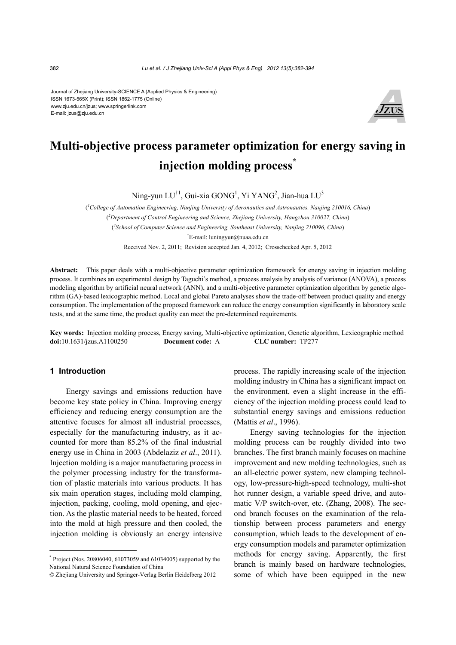Journal of Zhejiang University-SCIENCE A (Applied Physics & Engineering) ISSN 1673-565X (Print); ISSN 1862-1775 (Online) www.zju.edu.cn/jzus; www.springerlink.com E-mail: jzus@zju.edu.cn



# **Multi-objective process parameter optimization for energy saving in injection molding process\***

Ning-yun LU<sup>†1</sup>, Gui-xia GONG<sup>1</sup>, Yi YANG<sup>2</sup>, Jian-hua LU<sup>3</sup>

( *1 College of Automation Engineering, Nanjing University of Aeronautics and Astronautics, Nanjing 210016, China*) ( *2 Department of Control Engineering and Science, Zhejiang University, Hangzhou 310027, China*) ( *3 School of Computer Science and Engineering, Southeast University, Nanjing 210096, China*) † E-mail: luningyun@nuaa.edu.cn

Received Nov. 2, 2011; Revision accepted Jan. 4, 2012; Crosschecked Apr. 5, 2012

**Abstract:** This paper deals with a multi-objective parameter optimization framework for energy saving in injection molding process. It combines an experimental design by Taguchi's method, a process analysis by analysis of variance (ANOVA), a process modeling algorithm by artificial neural network (ANN), and a multi-objective parameter optimization algorithm by genetic algorithm (GA)-based lexicographic method. Local and global Pareto analyses show the trade-off between product quality and energy consumption. The implementation of the proposed framework can reduce the energy consumption significantly in laboratory scale tests, and at the same time, the product quality can meet the pre-determined requirements.

**Key words:** Injection molding process, Energy saving, Multi-objective optimization, Genetic algorithm, Lexicographic method **doi:**10.1631/jzus.A1100250 **Document code:** A **CLC number:** TP277

## **1 Introduction**

Energy savings and emissions reduction have become key state policy in China. Improving energy efficiency and reducing energy consumption are the attentive focuses for almost all industrial processes, especially for the manufacturing industry, as it accounted for more than 85.2% of the final industrial energy use in China in 2003 (Abdelaziz *et al*., 2011). Injection molding is a major manufacturing process in the polymer processing industry for the transformation of plastic materials into various products. It has six main operation stages, including mold clamping, injection, packing, cooling, mold opening, and ejection. As the plastic material needs to be heated, forced into the mold at high pressure and then cooled, the injection molding is obviously an energy intensive

\* Project (Nos. 20806040, 61073059 and 61034005) supported by the National Natural Science Foundation of China

process. The rapidly increasing scale of the injection molding industry in China has a significant impact on the environment, even a slight increase in the efficiency of the injection molding process could lead to substantial energy savings and emissions reduction (Mattis *et al*., 1996).

Energy saving technologies for the injection molding process can be roughly divided into two branches. The first branch mainly focuses on machine improvement and new molding technologies, such as an all-electric power system, new clamping technology, low-pressure-high-speed technology, multi-shot hot runner design, a variable speed drive, and automatic V/P switch-over, etc. (Zhang, 2008). The second branch focuses on the examination of the relationship between process parameters and energy consumption, which leads to the development of energy consumption models and parameter optimization methods for energy saving. Apparently, the first branch is mainly based on hardware technologies, some of which have been equipped in the new

<sup>©</sup> Zhejiang University and Springer-Verlag Berlin Heidelberg 2012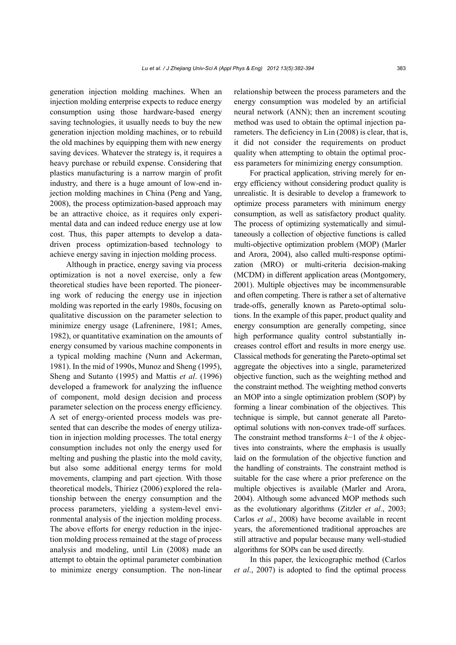generation injection molding machines. When an injection molding enterprise expects to reduce energy consumption using those hardware-based energy saving technologies, it usually needs to buy the new generation injection molding machines, or to rebuild the old machines by equipping them with new energy saving devices. Whatever the strategy is, it requires a heavy purchase or rebuild expense. Considering that plastics manufacturing is a narrow margin of profit industry, and there is a huge amount of low-end injection molding machines in China (Peng and Yang, 2008), the process optimization-based approach may be an attractive choice, as it requires only experimental data and can indeed reduce energy use at low cost. Thus, this paper attempts to develop a datadriven process optimization-based technology to achieve energy saving in injection molding process.

Although in practice, energy saving via process optimization is not a novel exercise, only a few theoretical studies have been reported. The pioneering work of reducing the energy use in injection molding was reported in the early 1980s, focusing on qualitative discussion on the parameter selection to minimize energy usage (Lafreninere, 1981; Ames, 1982), or quantitative examination on the amounts of energy consumed by various machine components in a typical molding machine (Nunn and Ackerman, 1981). In the mid of 1990s, Munoz and Sheng (1995), Sheng and Sutanto (1995) and Mattis *et al*. (1996) developed a framework for analyzing the influence of component, mold design decision and process parameter selection on the process energy efficiency. A set of energy-oriented process models was presented that can describe the modes of energy utilization in injection molding processes. The total energy consumption includes not only the energy used for melting and pushing the plastic into the mold cavity, but also some additional energy terms for mold movements, clamping and part ejection. With those theoretical models, Thiriez (2006) explored the relationship between the energy consumption and the process parameters, yielding a system-level environmental analysis of the injection molding process. The above efforts for energy reduction in the injection molding process remained at the stage of process analysis and modeling, until Lin (2008) made an attempt to obtain the optimal parameter combination to minimize energy consumption. The non-linear relationship between the process parameters and the energy consumption was modeled by an artificial neural network (ANN); then an increment scouting method was used to obtain the optimal injection parameters. The deficiency in Lin (2008) is clear, that is, it did not consider the requirements on product quality when attempting to obtain the optimal process parameters for minimizing energy consumption.

For practical application, striving merely for energy efficiency without considering product quality is unrealistic. It is desirable to develop a framework to optimize process parameters with minimum energy consumption, as well as satisfactory product quality. The process of optimizing systematically and simultaneously a collection of objective functions is called multi-objective optimization problem (MOP) (Marler and Arora, 2004), also called multi-response optimization (MRO) or multi-criteria decision-making (MCDM) in different application areas (Montgomery, 2001). Multiple objectives may be incommensurable and often competing. There is rather a set of alternative trade-offs, generally known as Pareto-optimal solutions. In the example of this paper, product quality and energy consumption are generally competing, since high performance quality control substantially increases control effort and results in more energy use. Classical methods for generating the Pareto-optimal set aggregate the objectives into a single, parameterized objective function, such as the weighting method and the constraint method. The weighting method converts an MOP into a single optimization problem (SOP) by forming a linear combination of the objectives. This technique is simple, but cannot generate all Paretooptimal solutions with non-convex trade-off surfaces. The constraint method transforms *k*−1 of the *k* objectives into constraints, where the emphasis is usually laid on the formulation of the objective function and the handling of constraints. The constraint method is suitable for the case where a prior preference on the multiple objectives is available (Marler and Arora, 2004). Although some advanced MOP methods such as the evolutionary algorithms (Zitzler *et al*., 2003; Carlos *et al*., 2008) have become available in recent years, the aforementioned traditional approaches are still attractive and popular because many well-studied algorithms for SOPs can be used directly.

In this paper, the lexicographic method (Carlos *et al*., 2007) is adopted to find the optimal process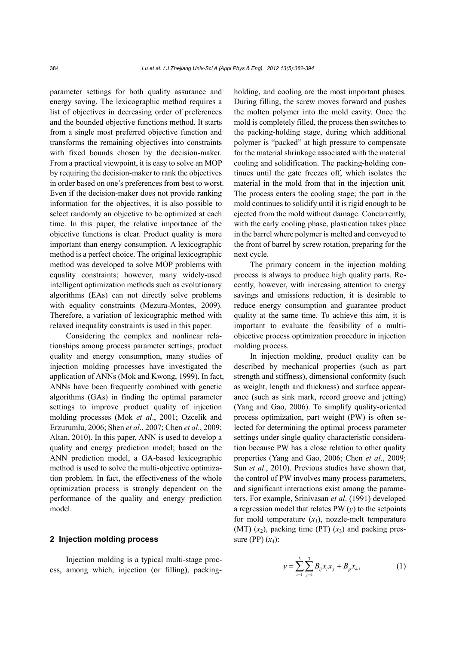parameter settings for both quality assurance and energy saving. The lexicographic method requires a list of objectives in decreasing order of preferences and the bounded objective functions method. It starts from a single most preferred objective function and transforms the remaining objectives into constraints with fixed bounds chosen by the decision-maker. From a practical viewpoint, it is easy to solve an MOP by requiring the decision-maker to rank the objectives in order based on one's preferences from best to worst. Even if the decision-maker does not provide ranking information for the objectives, it is also possible to select randomly an objective to be optimized at each time. In this paper, the relative importance of the objective functions is clear. Product quality is more important than energy consumption. A lexicographic method is a perfect choice. The original lexicographic method was developed to solve MOP problems with equality constraints; however, many widely-used intelligent optimization methods such as evolutionary algorithms (EAs) can not directly solve problems with equality constraints (Mezura-Montes, 2009). Therefore, a variation of lexicographic method with relaxed inequality constraints is used in this paper.

Considering the complex and nonlinear relationships among process parameter settings, product quality and energy consumption, many studies of injection molding processes have investigated the application of ANNs (Mok and Kwong, 1999). In fact, ANNs have been frequently combined with genetic algorithms (GAs) in finding the optimal parameter settings to improve product quality of injection molding processes (Mok *et al*., 2001; Ozcelik and Erzurumlu, 2006; Shen *et al*., 2007; Chen *et al*., 2009; Altan, 2010). In this paper, ANN is used to develop a quality and energy prediction model; based on the ANN prediction model, a GA-based lexicographic method is used to solve the multi-objective optimization problem. In fact, the effectiveness of the whole optimization process is strongly dependent on the performance of the quality and energy prediction model.

## **2 Injection molding process**

Injection molding is a typical multi-stage process, among which, injection (or filling), packingholding, and cooling are the most important phases. During filling, the screw moves forward and pushes the molten polymer into the mold cavity. Once the mold is completely filled, the process then switches to the packing-holding stage, during which additional polymer is "packed" at high pressure to compensate for the material shrinkage associated with the material cooling and solidification. The packing-holding continues until the gate freezes off, which isolates the material in the mold from that in the injection unit. The process enters the cooling stage; the part in the mold continues to solidify until it is rigid enough to be ejected from the mold without damage. Concurrently, with the early cooling phase, plastication takes place in the barrel where polymer is melted and conveyed to the front of barrel by screw rotation, preparing for the next cycle.

The primary concern in the injection molding process is always to produce high quality parts. Recently, however, with increasing attention to energy savings and emissions reduction, it is desirable to reduce energy consumption and guarantee product quality at the same time. To achieve this aim, it is important to evaluate the feasibility of a multiobjective process optimization procedure in injection molding process.

In injection molding, product quality can be described by mechanical properties (such as part strength and stiffness), dimensional conformity (such as weight, length and thickness) and surface appearance (such as sink mark, record groove and jetting) (Yang and Gao, 2006). To simplify quality-oriented process optimization, part weight (PW) is often selected for determining the optimal process parameter settings under single quality characteristic consideration because PW has a close relation to other quality properties (Yang and Gao, 2006; Chen *et al*., 2009; Sun *et al*., 2010). Previous studies have shown that, the control of PW involves many process parameters, and significant interactions exist among the parameters. For example, Srinivasan *et al*. (1991) developed a regression model that relates PW (*y*) to the setpoints for mold temperature  $(x_1)$ , nozzle-melt temperature (MT)  $(x_2)$ , packing time (PT)  $(x_3)$  and packing pressure (PP)  $(x_4)$ :

$$
y = \sum_{i=1}^{3} \sum_{j=1}^{3} B_{ij} x_i x_j + B_p x_4, \qquad (1)
$$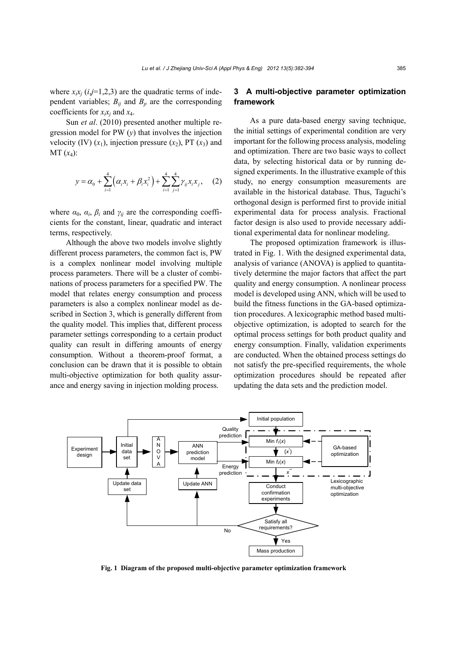where  $x_i x_j$  ( $i, j=1,2,3$ ) are the quadratic terms of independent variables;  $B_{ij}$  and  $B_p$  are the corresponding coefficients for  $x_i x_j$  and  $x_4$ .

Sun *et al*. (2010) presented another multiple regression model for PW (*y*) that involves the injection velocity (IV)  $(x_1)$ , injection pressure  $(x_2)$ , PT  $(x_3)$  and  $MT (x_4):$ 

$$
y = \alpha_0 + \sum_{i=1}^{4} (\alpha_i x_i + \beta_i x_i^2) + \sum_{i=1}^{4} \sum_{j=1}^{4} \gamma_{ij} x_i x_j, \quad (2)
$$

where  $\alpha_0$ ,  $\alpha_i$ ,  $\beta_i$  and  $\gamma_{ij}$  are the corresponding coefficients for the constant, linear, quadratic and interact terms, respectively.

Although the above two models involve slightly different process parameters, the common fact is, PW is a complex nonlinear model involving multiple process parameters. There will be a cluster of combinations of process parameters for a specified PW. The model that relates energy consumption and process parameters is also a complex nonlinear model as described in Section 3, which is generally different from the quality model. This implies that, different process parameter settings corresponding to a certain product quality can result in differing amounts of energy consumption. Without a theorem-proof format, a conclusion can be drawn that it is possible to obtain multi-objective optimization for both quality assurance and energy saving in injection molding process.

# **3 A multi-objective parameter optimization framework**

As a pure data-based energy saving technique, the initial settings of experimental condition are very important for the following process analysis, modeling and optimization. There are two basic ways to collect data, by selecting historical data or by running designed experiments. In the illustrative example of this study, no energy consumption measurements are available in the historical database. Thus, Taguchi's orthogonal design is performed first to provide initial experimental data for process analysis. Fractional factor design is also used to provide necessary additional experimental data for nonlinear modeling.

The proposed optimization framework is illustrated in Fig. 1. With the designed experimental data, analysis of variance (ANOVA) is applied to quantitatively determine the major factors that affect the part quality and energy consumption. A nonlinear process model is developed using ANN, which will be used to build the fitness functions in the GA-based optimization procedures. A lexicographic method based multiobjective optimization, is adopted to search for the optimal process settings for both product quality and energy consumption. Finally, validation experiments are conducted. When the obtained process settings do not satisfy the pre-specified requirements, the whole optimization procedures should be repeated after updating the data sets and the prediction model.



**Fig. 1 Diagram of the proposed multi-objective parameter optimization framework**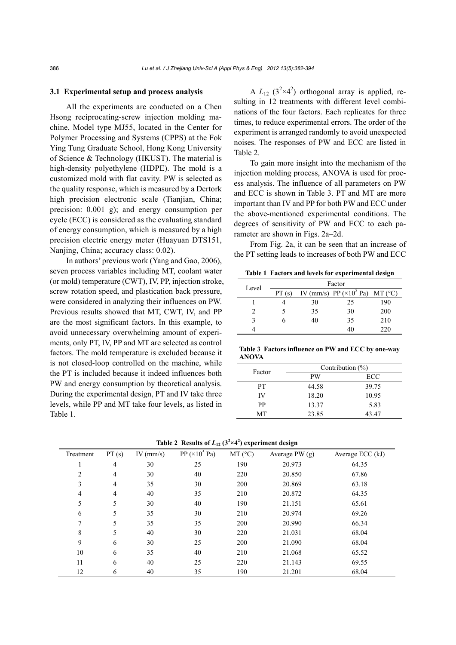#### **3.1 Experimental setup and process analysis**

All the experiments are conducted on a Chen Hsong reciprocating-screw injection molding machine, Model type MJ55, located in the Center for Polymer Processing and Systems (CPPS) at the Fok Ying Tung Graduate School, Hong Kong University of Science & Technology (HKUST). The material is high-density polyethylene (HDPE). The mold is a customized mold with flat cavity. PW is selected as the quality response, which is measured by a Dertork high precision electronic scale (Tianjian, China; precision: 0.001 g); and energy consumption per cycle (ECC) is considered as the evaluating standard of energy consumption, which is measured by a high precision electric energy meter (Huayuan DTS151, Nanjing, China; accuracy class: 0.02).

In authors' previous work (Yang and Gao, 2006), seven process variables including MT, coolant water (or mold) temperature (CWT), IV, PP, injection stroke, screw rotation speed, and plastication back pressure, were considered in analyzing their influences on PW. Previous results showed that MT, CWT, IV, and PP are the most significant factors. In this example, to avoid unnecessary overwhelming amount of experiments, only PT, IV, PP and MT are selected as control factors. The mold temperature is excluded because it is not closed-loop controlled on the machine, while the PT is included because it indeed influences both PW and energy consumption by theoretical analysis. During the experimental design, PT and IV take three levels, while PP and MT take four levels, as listed in Table 1.

A  $L_{12}$  ( $3^2 \times 4^2$ ) orthogonal array is applied, resulting in 12 treatments with different level combinations of the four factors. Each replicates for three times, to reduce experimental errors. The order of the experiment is arranged randomly to avoid unexpected noises. The responses of PW and ECC are listed in Table 2.

To gain more insight into the mechanism of the injection molding process, ANOVA is used for process analysis. The influence of all parameters on PW and ECC is shown in Table 3. PT and MT are more important than IV and PP for both PW and ECC under the above-mentioned experimental conditions. The degrees of sensitivity of PW and ECC to each parameter are shown in Figs. 2a–2d.

From Fig. 2a, it can be seen that an increase of the PT setting leads to increases of both PW and ECC

**Table 1 Factors and levels for experimental design** 

| Level | Factor |    |                                          |     |  |  |  |  |
|-------|--------|----|------------------------------------------|-----|--|--|--|--|
|       | PT(s)  |    | IV (mm/s) PP ( $\times 10^5$ Pa) MT (°C) |     |  |  |  |  |
|       |        | 30 | 25                                       | 190 |  |  |  |  |
|       |        | 35 | 30                                       | 200 |  |  |  |  |
|       |        | 40 | 35                                       | 210 |  |  |  |  |
|       |        |    | 40                                       | 220 |  |  |  |  |

|       | Table 3 Factors influence on PW and ECC by one-way |  |  |
|-------|----------------------------------------------------|--|--|
| ANOVA |                                                    |  |  |

| Factor | Contribution $(\% )$ |       |  |  |  |
|--------|----------------------|-------|--|--|--|
|        | РW                   | ECC   |  |  |  |
| PТ     | 44.58                | 39.75 |  |  |  |
| IV     | 18.20                | 10.95 |  |  |  |
| РP     | 13.37                | 5.83  |  |  |  |
| MТ     | 23.85                | 43 47 |  |  |  |

**Table 2** Results of  $L_{12}$  ( $3^2 \times 4^2$ ) experiment design

|           |       |             | $\cdots$                 | $\overline{\phantom{a}}$ | 0                |                  |
|-----------|-------|-------------|--------------------------|--------------------------|------------------|------------------|
| Treatment | PT(s) | IV $(mm/s)$ | PP (×10 <sup>5</sup> Pa) | $MT(^{\circ}C)$          | Average PW $(g)$ | Average ECC (kJ) |
|           | 4     | 30          | 25                       | 190                      | 20.973           | 64.35            |
| 2         | 4     | 30          | 40                       | 220                      | 20.850           | 67.86            |
| 3         | 4     | 35          | 30                       | 200                      | 20.869           | 63.18            |
| 4         | 4     | 40          | 35                       | 210                      | 20.872           | 64.35            |
| 5         | 5     | 30          | 40                       | 190                      | 21.151           | 65.61            |
| 6         | 5     | 35          | 30                       | 210                      | 20.974           | 69.26            |
| 7         | 5     | 35          | 35                       | 200                      | 20.990           | 66.34            |
| 8         | 5     | 40          | 30                       | 220                      | 21.031           | 68.04            |
| 9         | 6     | 30          | 25                       | 200                      | 21.090           | 68.04            |
| 10        | 6     | 35          | 40                       | 210                      | 21.068           | 65.52            |
| 11        | 6     | 40          | 25                       | 220                      | 21.143           | 69.55            |
| 12        | 6     | 40          | 35                       | 190                      | 21.201           | 68.04            |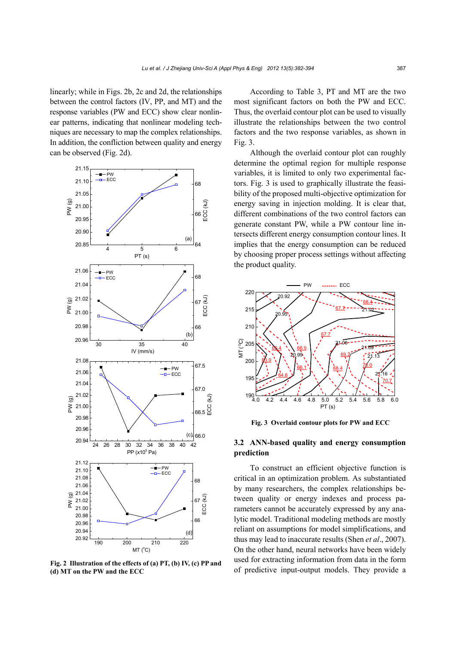linearly; while in Figs. 2b, 2c and 2d, the relationships between the control factors (IV, PP, and MT) and the response variables (PW and ECC) show clear nonlinear patterns, indicating that nonlinear modeling techniques are necessary to map the complex relationships. In addition, the confliction between quality and energy can be observed (Fig. 2d).



**(d) MT on the PW and the ECC**

According to Table 3, PT and MT are the two most significant factors on both the PW and ECC. Thus, the overlaid contour plot can be used to visually illustrate the relationships between the two control factors and the two response variables, as shown in Fig. 3.

Although the overlaid contour plot can roughly determine the optimal region for multiple response variables, it is limited to only two experimental factors. Fig. 3 is used to graphically illustrate the feasibility of the proposed multi-objective optimization for energy saving in injection molding. It is clear that, different combinations of the two control factors can generate constant PW, while a PW contour line intersects different energy consumption contour lines. It implies that the energy consumption can be reduced by choosing proper process settings without affecting the product quality.



**Fig. 3 Overlaid contour plots for PW and ECC**

## **3.2 ANN-based quality and energy consumption prediction**

To construct an efficient objective function is critical in an optimization problem. As substantiated by many researchers, the complex relationships between quality or energy indexes and process parameters cannot be accurately expressed by any analytic model. Traditional modeling methods are mostly reliant on assumptions for model simplifications, and thus may lead to inaccurate results (Shen *et al*., 2007). On the other hand, neural networks have been widely used for extracting information from data in the form Fig. 2 Illustration of the effects of (a) PT, (b) IV, (c) PP and<br>
of predictive input-output models. They provide a<br>
of predictive input-output models. They provide a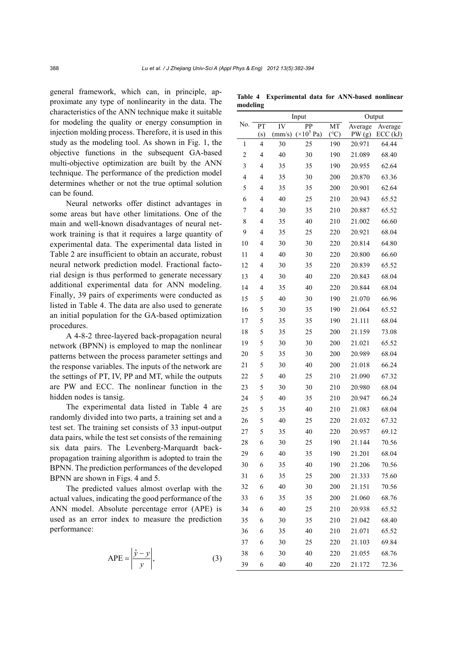general framework, which can, in principle, approximate any type of nonlinearity in the data. The characteristics of the ANN technique make it suitable for modeling the quality or energy consumption in injection molding process. Therefore, it is used in this study as the modeling tool. As shown in Fig. 1, the objective functions in the subsequent GA-based multi-objective optimization are built by the ANN technique. The performance of the prediction model determines whether or not the true optimal solution can be found.

Neural networks offer distinct advantages in some areas but have other limitations. One of the main and well-known disadvantages of neural network training is that it requires a large quantity of experimental data. The experimental data listed in Table 2 are insufficient to obtain an accurate, robust neural network prediction model. Fractional factorial design is thus performed to generate necessary additional experimental data for ANN modeling. Finally, 39 pairs of experiments were conducted as listed in Table 4. The data are also used to generate an initial population for the GA-based optimization procedures.

A 4-8-2 three-layered back-propagation neural network (BPNN) is employed to map the nonlinear patterns between the process parameter settings and the response variables. The inputs of the network are the settings of PT, IV, PP and MT, while the outputs are PW and ECC. The nonlinear function in the hidden nodes is tansig.

The experimental data listed in Table 4 are randomly divided into two parts, a training set and a test set. The training set consists of 33 input-output data pairs, while the test set consists of the remaining six data pairs. The Levenberg-Marquardt backpropagation training algorithm is adopted to train the BPNN. The prediction performances of the developed BPNN are shown in Figs. 4 and 5.

The predicted values almost overlap with the actual values, indicating the good performance of the ANN model. Absolute percentage error (APE) is used as an error index to measure the prediction performance:

$$
APE = \left| \frac{\hat{y} - y}{y} \right|,
$$
 (3)

|                          |                 |              | Input                    | Output               |         |                   |
|--------------------------|-----------------|--------------|--------------------------|----------------------|---------|-------------------|
| No.                      | $\overline{PT}$ | IV           | PP                       | МT                   | Average | Average           |
| $\mathbf{1}$             | (s)<br>4        | (mm/s)<br>30 | $(\times 10^5$ Pa)<br>25 | $(^{\circ}C)$<br>190 | PW(g)   | ECC (kJ)<br>64.44 |
|                          |                 | 40           |                          |                      | 20.971  |                   |
| $\overline{c}$           | 4               |              | 30                       | 190                  | 21.089  | 68.40             |
| $\overline{\mathbf{3}}$  | 4               | 35           | 35                       | 190                  | 20.955  | 62.64             |
| $\overline{\mathcal{L}}$ | 4               | 35           | 30                       | 200                  | 20.870  | 63.36             |
| 5                        | 4               | 35           | 35                       | 200                  | 20.901  | 62.64             |
| 6                        | 4               | 40           | 25                       | 210                  | 20.943  | 65.52             |
| $\overline{7}$           | 4               | 30           | 35                       | 210                  | 20.887  | 65.52             |
| 8                        | 4               | 35           | 40                       | 210                  | 21.002  | 66.60             |
| 9                        | 4               | 35           | 25                       | 220                  | 20.921  | 68.04             |
| 10                       | 4               | 30           | 30                       | 220                  | 20.814  | 64.80             |
| 11                       | 4               | 40           | 30                       | 220                  | 20.800  | 66.60             |
| 12                       | 4               | 30           | 35                       | 220                  | 20.839  | 65.52             |
| 13                       | 4               | 30           | 40                       | 220                  | 20.843  | 68.04             |
| 14                       | 4               | 35           | 40                       | 220                  | 20.844  | 68.04             |
| 15                       | 5               | 40           | 30                       | 190                  | 21.070  | 66.96             |
| 16                       | 5               | 30           | 35                       | 190                  | 21.064  | 65.52             |
| 17                       | 5               | 35           | 35                       | 190                  | 21.111  | 68.04             |
| 18                       | 5               | 35           | 25                       | 200                  | 21.159  | 73.08             |
| 19                       | 5               | 30           | 30                       | 200                  | 21.021  | 65.52             |
| 20                       | 5               | 35           | 30                       | 200                  | 20.989  | 68.04             |
| 21                       | 5               | 30           | 40                       | 200                  | 21.018  | 66.24             |
| 22                       | 5               | 40           | 25                       | 210                  | 21.090  | 67.32             |
| 23                       | 5               | 30           | 30                       | 210                  | 20.980  | 68.04             |
| 24                       | 5               | 40           | 35                       | 210                  | 20.947  | 66.24             |
| 25                       | 5               | 35           | 40                       | 210                  | 21.083  | 68.04             |
| 26                       | 5               | 40           | 25                       | 220                  | 21.032  | 67.32             |
| 27                       | 5               | 35           | 40                       | 220                  | 20.957  | 69.12             |
| 28                       | 6               | 30           | 25                       | 190                  | 21.144  | 70.56             |
| 29                       | 6               | 40           | 35                       | 190                  | 21.201  | 68.04             |
| 30                       | 6               | 35           | 40                       | 190                  | 21.206  | 70.56             |
| 31                       | 6               | 35           | 25                       | 200                  | 21.333  | 75.60             |
| 32                       | 6               | 40           | 30                       | 200                  | 21.151  | 70.56             |
| 33                       | 6               | 35           | 35                       | 200                  | 21.060  | 68.76             |
|                          |                 |              |                          |                      |         |                   |
| 34                       | 6               | 40           | 25                       | 210                  | 20.938  | 65.52             |

35 6 30 35 210 21.042 68.40 36 6 35 40 210 21.071 65.52 37 6 30 25 220 21.103 69.84 38 6 30 40 220 21.055 68.76 39 6 40 40 220 21.172 72.36

**Table 4 Experimental data for ANN-based nonlinear modeling**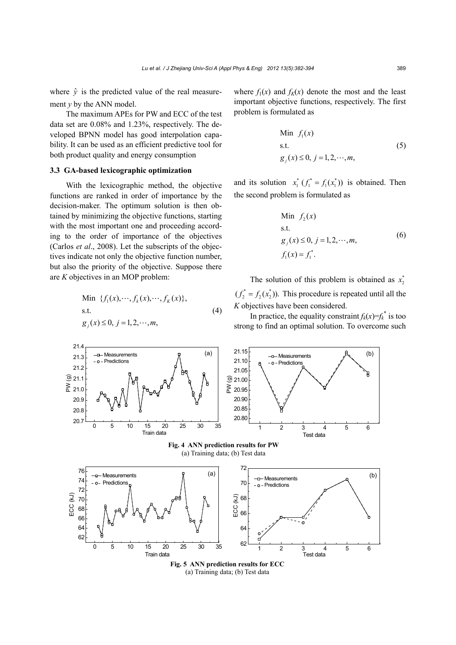where  $\hat{y}$  is the predicted value of the real measurement *y* by the ANN model.

The maximum APEs for PW and ECC of the test data set are 0.08% and 1.23%, respectively. The developed BPNN model has good interpolation capability. It can be used as an efficient predictive tool for both product quality and energy consumption

#### **3.3 GA-based lexicographic optimization**

With the lexicographic method, the objective functions are ranked in order of importance by the decision-maker. The optimum solution is then obtained by minimizing the objective functions, starting with the most important one and proceeding according to the order of importance of the objectives (Carlos *et al*., 2008). Let the subscripts of the objectives indicate not only the objective function number, but also the priority of the objective. Suppose there are *K* objectives in an MOP problem:

Min {
$$
f_1(x),..., f_k(x),..., f_K(x)
$$
},  
s.t. (4)  
 $g_j(x) \le 0, j = 1, 2, ..., m,$ 

where  $f_1(x)$  and  $f_k(x)$  denote the most and the least important objective functions, respectively. The first problem is formulated as

Min 
$$
f_1(x)
$$
  
s.t. (5)  
 $g_j(x) \le 0, j = 1, 2, \dots, m,$ 

and its solution  $x_1^*$  ( $f_1^* = f_1(x_1^*)$ ) is obtained. Then the second problem is formulated as

Min 
$$
f_2(x)
$$
  
s.t.  
 $g_j(x) \le 0, j = 1, 2, \dots, m,$  (6)  
 $f_1(x) = f_1^*$ .

The solution of this problem is obtained as  $x_2^*$  $(f_2^* = f_2(x_2^*))$ . This procedure is repeated until all the *K* objectives have been considered.

In practice, the equality constraint  $f_k(x) = f_k^*$  is too strong to find an optimal solution. To overcome such

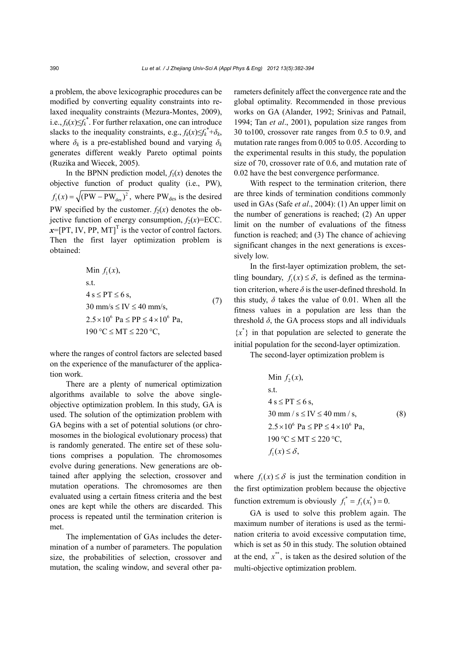a problem, the above lexicographic procedures can be modified by converting equality constraints into relaxed inequality constraints (Mezura-Montes, 2009), i.e.,  $f_k(x) \leq f_k^*$ . For further relaxation, one can introduce slacks to the inequality constraints, e.g.,  $f_k(x) \le f_k^* + \delta_k$ , where  $\delta_k$  is a pre-established bound and varying  $\delta_k$ generates different weakly Pareto optimal points (Ruzika and Wiecek, 2005).

In the BPNN prediction model,  $f_1(x)$  denotes the objective function of product quality (i.e., PW),  $f_1(x) = \sqrt{(PW - PW_{des})^2}$ , where PW<sub>des</sub> is the desired PW specified by the customer.  $f_2(x)$  denotes the objective function of energy consumption,  $f_2(x) = ECC$ .  $\mathbf{x}$ =[PT, IV, PP, MT]<sup>T</sup> is the vector of control factors. Then the first layer optimization problem is obtained:

Min 
$$
f_1(x)
$$
,  
s.t.  
\n $4 s \le PT \le 6 s$ ,  
\n30 mm/s  $\le IV \le 40$  mm/s,  
\n $2.5 \times 10^6$  Pa  $\le PP \le 4 \times 10^6$  Pa,  
\n190 °C  $\le MT \le 220$  °C,

where the ranges of control factors are selected based on the experience of the manufacturer of the application work.

There are a plenty of numerical optimization algorithms available to solve the above singleobjective optimization problem. In this study, GA is used. The solution of the optimization problem with GA begins with a set of potential solutions (or chromosomes in the biological evolutionary process) that is randomly generated. The entire set of these solutions comprises a population. The chromosomes evolve during generations. New generations are obtained after applying the selection, crossover and mutation operations. The chromosomes are then evaluated using a certain fitness criteria and the best ones are kept while the others are discarded. This process is repeated until the termination criterion is met.

The implementation of GAs includes the determination of a number of parameters. The population size, the probabilities of selection, crossover and mutation, the scaling window, and several other parameters definitely affect the convergence rate and the global optimality. Recommended in those previous works on GA (Alander, 1992; Srinivas and Patnail, 1994; Tan *et al*., 2001), population size ranges from 30 to100, crossover rate ranges from 0.5 to 0.9, and mutation rate ranges from 0.005 to 0.05. According to the experimental results in this study, the population size of 70, crossover rate of 0.6, and mutation rate of 0.02 have the best convergence performance.

With respect to the termination criterion, there are three kinds of termination conditions commonly used in GAs (Safe *et al*., 2004): (1) An upper limit on the number of generations is reached; (2) An upper limit on the number of evaluations of the fitness function is reached; and (3) The chance of achieving significant changes in the next generations is excessively low.

In the first-layer optimization problem, the settling boundary,  $f_1(x) \leq \delta$ , is defined as the termination criterion, where  $\delta$  is the user-defined threshold. In this study,  $\delta$  takes the value of 0.01. When all the fitness values in a population are less than the threshold  $\delta$ , the GA process stops and all individuals  $\{x^*\}\$ in that population are selected to generate the initial population for the second-layer optimization.

The second-layer optimization problem is

Min 
$$
f_2(x)
$$
,  
s.t.  
\n $4 s \le PT \le 6 s$ ,  
\n30 mm /  $s \le IV \le 40$  mm / s,  
\n $2.5 \times 10^6$  Pa  $\le PP \le 4 \times 10^6$  Pa,  
\n $190$  °C  $\le MT \le 220$  °C,  
\n $f_1(x) \le \delta$ ,

where  $f_1(x) \leq \delta$  is just the termination condition in the first optimization problem because the objective function extremum is obviously  $f_1^* = f_1(x_1^*) = 0$ .

GA is used to solve this problem again. The maximum number of iterations is used as the termination criteria to avoid excessive computation time, which is set as 50 in this study. The solution obtained at the end,  $x^*$ , is taken as the desired solution of the multi-objective optimization problem.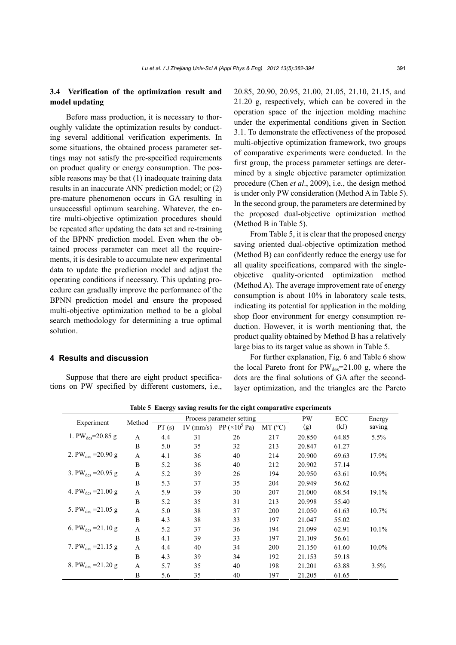## **3.4 Verification of the optimization result and model updating**

Before mass production, it is necessary to thoroughly validate the optimization results by conducting several additional verification experiments. In some situations, the obtained process parameter settings may not satisfy the pre-specified requirements on product quality or energy consumption. The possible reasons may be that (1) inadequate training data results in an inaccurate ANN prediction model; or (2) pre-mature phenomenon occurs in GA resulting in unsuccessful optimum searching. Whatever, the entire multi-objective optimization procedures should be repeated after updating the data set and re-training of the BPNN prediction model. Even when the obtained process parameter can meet all the requirements, it is desirable to accumulate new experimental data to update the prediction model and adjust the operating conditions if necessary. This updating procedure can gradually improve the performance of the BPNN prediction model and ensure the proposed multi-objective optimization method to be a global search methodology for determining a true optimal solution.

## **4 Results and discussion**

Suppose that there are eight product specifications on PW specified by different customers, i.e., 20.85, 20.90, 20.95, 21.00, 21.05, 21.10, 21.15, and 21.20 g, respectively, which can be covered in the operation space of the injection molding machine under the experimental conditions given in Section 3.1. To demonstrate the effectiveness of the proposed multi-objective optimization framework, two groups of comparative experiments were conducted. In the first group, the process parameter settings are determined by a single objective parameter optimization procedure (Chen *et al*., 2009), i.e., the design method is under only PW consideration (Method A in Table 5). In the second group, the parameters are determined by the proposed dual-objective optimization method (Method B in Table 5).

From Table 5, it is clear that the proposed energy saving oriented dual-objective optimization method (Method B) can confidently reduce the energy use for all quality specifications, compared with the singleobjective quality-oriented optimization method (Method A). The average improvement rate of energy consumption is about 10% in laboratory scale tests, indicating its potential for application in the molding shop floor environment for energy consumption reduction. However, it is worth mentioning that, the product quality obtained by Method B has a relatively large bias to its target value as shown in Table 5.

For further explanation, Fig. 6 and Table 6 show the local Pareto front for  $PW_{des}=21.00$  g, where the dots are the final solutions of GA after the secondlayer optimization, and the triangles are the Pareto

| Experiment                      | Method |       |             | Process parameter setting |                 | PW     | ECC   | Energy   |
|---------------------------------|--------|-------|-------------|---------------------------|-----------------|--------|-------|----------|
|                                 |        | PT(s) | IV $(mm/s)$ | PP $(\times 10^5$ Pa)     | $MT(^{\circ}C)$ | (g)    | (kJ)  | saving   |
| 1. PW <sub>des</sub> =20.85 g   | A      | 4.4   | 31          | 26                        | 217             | 20.850 | 64.85 | 5.5%     |
|                                 | B      | 5.0   | 35          | 32                        | 213             | 20.847 | 61.27 |          |
| 2. PW $_{des}$ = 20.90 g        | A      | 4.1   | 36          | 40                        | 214             | 20.900 | 69.63 | 17.9%    |
|                                 | B      | 5.2   | 36          | 40                        | 212             | 20.902 | 57.14 |          |
| 3. PW $_{des}$ = 20.95 g        | A      | 5.2   | 39          | 26                        | 194             | 20.950 | 63.61 | 10.9%    |
|                                 | B      | 5.3   | 37          | 35                        | 204             | 20.949 | 56.62 |          |
| 4. PW <sub>des</sub> = 21.00 g  | A      | 5.9   | 39          | 30                        | 207             | 21.000 | 68.54 | 19.1%    |
|                                 | B      | 5.2   | 35          | 31                        | 213             | 20.998 | 55.40 |          |
| 5. PW $_{des}$ = 21.05 g        | A      | 5.0   | 38          | 37                        | 200             | 21.050 | 61.63 | 10.7%    |
|                                 | B      | 4.3   | 38          | 33                        | 197             | 21.047 | 55.02 |          |
| 6. PW <sub>des</sub> = 21.10 g  | A      | 5.2   | 37          | 36                        | 194             | 21.099 | 62.91 | $10.1\%$ |
|                                 | B      | 4.1   | 39          | 33                        | 197             | 21.109 | 56.61 |          |
| 7. PW $_{des}$ = 21.15 g        | A      | 4.4   | 40          | 34                        | 200             | 21.150 | 61.60 | 10.0%    |
|                                 | B      | 4.3   | 39          | 34                        | 192             | 21.153 | 59.18 |          |
| 8. PW $_{\text{des}}$ = 21.20 g | A      | 5.7   | 35          | 40                        | 198             | 21.201 | 63.88 | 3.5%     |
|                                 | B      | 5.6   | 35          | 40                        | 197             | 21.205 | 61.65 |          |

**Table 5 Energy saving results for the eight comparative experiments**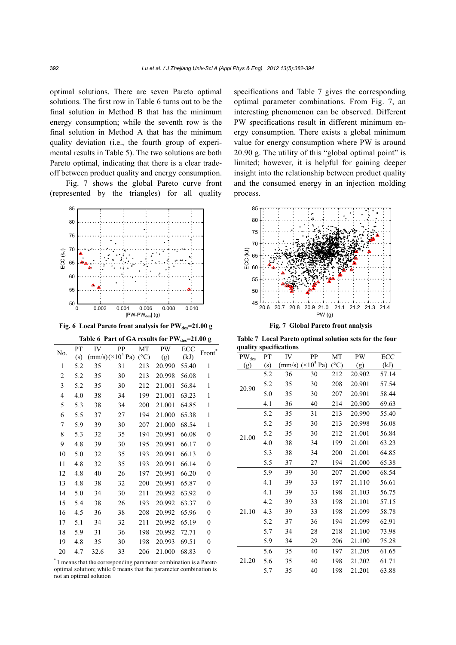optimal solutions. There are seven Pareto optimal solutions. The first row in Table 6 turns out to be the final solution in Method B that has the minimum energy consumption; while the seventh row is the final solution in Method A that has the minimum quality deviation (i.e., the fourth group of experimental results in Table 5). The two solutions are both Pareto optimal, indicating that there is a clear tradeoff between product quality and energy consumption.

Fig. 7 shows the global Pareto curve front (represented by the triangles) for all quality



Fig. 6 Local Pareto front analysis for PW<sub>des</sub>=21.00 g

|     | Table 6 Part of GA results for $PW_{des}=21.00 g$ |      |                                         |               |           |       |                    |  |  |
|-----|---------------------------------------------------|------|-----------------------------------------|---------------|-----------|-------|--------------------|--|--|
| No. | PT                                                | IV   | PP                                      | MT            | <b>PW</b> | ECC   | Front <sup>*</sup> |  |  |
|     | (s)                                               |      | $\text{(mm/s)}(\times 10^5 \text{ Pa})$ | $(^{\circ}C)$ | (g)       | (kJ)  |                    |  |  |
| 1   | 5.2                                               | 35   | 31                                      | 213           | 20.990    | 55.40 | $\mathbf{1}$       |  |  |
| 2   | 5.2                                               | 35   | 30                                      | 213           | 20.998    | 56.08 | 1                  |  |  |
| 3   | 5.2                                               | 35   | 30                                      | 212           | 21.001    | 56.84 | 1                  |  |  |
| 4   | 4.0                                               | 38   | 34                                      | 199           | 21.001    | 63.23 | 1                  |  |  |
| 5   | 5.3                                               | 38   | 34                                      | 200           | 21.001    | 64.85 | 1                  |  |  |
| 6   | 5.5                                               | 37   | 27                                      | 194           | 21.000    | 65.38 | 1                  |  |  |
| 7   | 5.9                                               | 39   | 30                                      | 207           | 21.000    | 68.54 | 1                  |  |  |
| 8   | 5.3                                               | 32   | 35                                      | 194           | 20.991    | 66.08 | $\boldsymbol{0}$   |  |  |
| 9   | 4.8                                               | 39   | 30                                      | 195           | 20.991    | 66.17 | 0                  |  |  |
| 10  | 5.0                                               | 32   | 35                                      | 193           | 20.991    | 66.13 | $\boldsymbol{0}$   |  |  |
| 11  | 4.8                                               | 32   | 35                                      | 193           | 20.991    | 66.14 | $\boldsymbol{0}$   |  |  |
| 12  | 4.8                                               | 40   | 26                                      | 197           | 20.991    | 66.20 | 0                  |  |  |
| 13  | 4.8                                               | 38   | 32                                      | 200           | 20.991    | 65.87 | $\boldsymbol{0}$   |  |  |
| 14  | 5.0                                               | 34   | 30                                      | 211           | 20.992    | 63.92 | $\theta$           |  |  |
| 15  | 5.4                                               | 38   | 26                                      | 193           | 20.992    | 63.37 | $\boldsymbol{0}$   |  |  |
| 16  | 4.5                                               | 36   | 38                                      | 208           | 20.992    | 65.96 | $\boldsymbol{0}$   |  |  |
| 17  | 5.1                                               | 34   | 32                                      | 211           | 20.992    | 65.19 | $\theta$           |  |  |
| 18  | 5.9                                               | 31   | 36                                      | 198           | 20.992    | 72.71 | $\theta$           |  |  |
| 19  | 4.8                                               | 35   | 30                                      | 198           | 20.993    | 69.51 | 0                  |  |  |
| 20  | 4.7                                               | 32.6 | 33                                      | 206           | 21.000    | 68.83 | 0                  |  |  |

\* 1 means that the corresponding parameter combination is a Pareto optimal solution; while 0 means that the parameter combination is not an optimal solution

specifications and Table 7 gives the corresponding optimal parameter combinations. From Fig. 7, an interesting phenomenon can be observed. Different PW specifications result in different minimum energy consumption. There exists a global minimum value for energy consumption where PW is around 20.90 g. The utility of this "global optimal point" is limited; however, it is helpful for gaining deeper insight into the relationship between product quality and the consumed energy in an injection molding process.



**Fig. 7 Global Pareto front analysis**

**Table 7 Local Pareto optimal solution sets for the four quality specifications** 

| $\mathrm{PW}_\mathrm{des}$ | PT  | IV | PP                             | MT            | <b>PW</b> | ECC   |
|----------------------------|-----|----|--------------------------------|---------------|-----------|-------|
| (g)                        | (s) |    | $(mm/s)$ (×10 <sup>5</sup> Pa) | $(^{\circ}C)$ | (g)       | (kJ)  |
|                            | 5.2 | 36 | 30                             | 212           | 20.902    | 57.14 |
| 20.90                      | 5.2 | 35 | 30                             | 208           | 20.901    | 57.54 |
|                            | 5.0 | 35 | 30                             | 207           | 20.901    | 58.44 |
|                            | 4.1 | 36 | 40                             | 214           | 20.900    | 69.63 |
|                            | 5.2 | 35 | 31                             | 213           | 20.990    | 55.40 |
|                            | 5.2 | 35 | 30                             | 213           | 20.998    | 56.08 |
| 21.00                      | 5.2 | 35 | 30                             | 212           | 21.001    | 56.84 |
|                            | 4.0 | 38 | 34                             | 199           | 21.001    | 63.23 |
|                            | 5.3 | 38 | 34                             | 200           | 21.001    | 64.85 |
|                            | 5.5 | 37 | 27                             | 194           | 21.000    | 65.38 |
|                            | 5.9 | 39 | 30                             | 207           | 21.000    | 68.54 |
|                            | 4.1 | 39 | 33                             | 197           | 21.110    | 56.61 |
|                            | 4.1 | 39 | 33                             | 198           | 21.103    | 56.75 |
|                            | 4.2 | 39 | 33                             | 198           | 21.101    | 57.15 |
| 21.10                      | 4.3 | 39 | 33                             | 198           | 21.099    | 58.78 |
|                            | 5.2 | 37 | 36                             | 194           | 21.099    | 62.91 |
|                            | 5.7 | 34 | 28                             | 218           | 21.100    | 73.98 |
|                            | 5.9 | 34 | 29                             | 206           | 21.100    | 75.28 |
|                            | 5.6 | 35 | 40                             | 197           | 21.205    | 61.65 |
| 21.20                      | 5.6 | 35 | 40                             | 198           | 21.202    | 61.71 |
|                            | 5.7 | 35 | 40                             | 198           | 21.201    | 63.88 |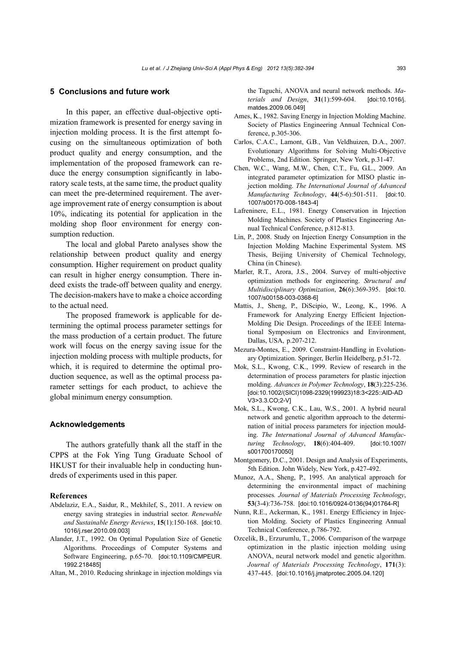### **5 Conclusions and future work**

In this paper, an effective dual-objective optimization framework is presented for energy saving in injection molding process. It is the first attempt focusing on the simultaneous optimization of both product quality and energy consumption, and the implementation of the proposed framework can reduce the energy consumption significantly in laboratory scale tests, at the same time, the product quality can meet the pre-determined requirement. The average improvement rate of energy consumption is about 10%, indicating its potential for application in the molding shop floor environment for energy consumption reduction.

The local and global Pareto analyses show the relationship between product quality and energy consumption. Higher requirement on product quality can result in higher energy consumption. There indeed exists the trade-off between quality and energy. The decision-makers have to make a choice according to the actual need.

The proposed framework is applicable for determining the optimal process parameter settings for the mass production of a certain product. The future work will focus on the energy saving issue for the injection molding process with multiple products, for which, it is required to determine the optimal production sequence, as well as the optimal process parameter settings for each product, to achieve the global minimum energy consumption.

## **Acknowledgements**

The authors gratefully thank all the staff in the CPPS at the Fok Ying Tung Graduate School of HKUST for their invaluable help in conducting hundreds of experiments used in this paper.

#### **References**

- Abdelaziz, E.A., Saidur, R., Mekhilef, S., 2011. A review on energy saving strategies in industrial sector. *Renewable and Sustainable Energy Reviews*, **15**(1):150-168. [doi:10. 1016/j.rser.2010.09.003]
- Alander, J.T., 1992. On Optimal Population Size of Genetic Algorithms. Proceedings of Computer Systems and Software Engineering, p.65-70. [doi:10.1109/CMPEUR. 1992.218485]
- Altan, M., 2010. Reducing shrinkage in injection moldings via

the Taguchi, ANOVA and neural network methods. *Materials and Design*, **31**(1):599-604. [doi:10.1016/j. matdes.2009.06.049]

- Ames, K., 1982. Saving Energy in Injection Molding Machine. Society of Plastics Engineering Annual Technical Conference, p.305-306.
- Carlos, C.A.C., Lamont, G.B., Van Veldhuizen, D.A., 2007. Evolutionary Algorithms for Solving Multi-Objective Problems, 2nd Edition. Springer, New York, p.31-47.
- Chen, W.C., Wang, M.W., Chen, C.T., Fu, G.L., 2009. An integrated parameter optimization for MISO plastic injection molding. *The International Journal of Advanced Manufacturing Technology*, **44**(5-6):501-511. [doi:10. 1007/s00170-008-1843-4]
- Lafreninere, E.L., 1981. Energy Conservation in Injection Molding Machines. Society of Plastics Engineering Annual Technical Conference, p.812-813.
- Lin, P., 2008. Study on Injection Energy Consumption in the Injection Molding Machine Experimental System. MS Thesis, Beijing University of Chemical Technology, China (in Chinese).
- Marler, R.T., Arora, J.S., 2004. Survey of multi-objective optimization methods for engineering. *Structural and Multidisciplinary Optimization*, **26**(6):369-395. [doi:10. 1007/s00158-003-0368-6]
- Mattis, J., Sheng, P., DiScipio, W., Leong, K., 1996. A Framework for Analyzing Energy Efficient Injection-Molding Die Design. Proceedings of the IEEE International Symposium on Electronics and Environment, Dallas, USA, p.207-212.
- Mezura-Montes, E., 2009. Constraint-Handling in Evolutionary Optimization. Springer, Berlin Heidelberg, p.51-72.
- Mok, S.L., Kwong, C.K., 1999. Review of research in the determination of process parameters for plastic injection molding. *Advances in Polymer Technology*, **18**(3):225-236. [doi:10.1002/(SICI)1098-2329(199923)18:3<225::AID-AD V3>3.3.CO;2-V]
- Mok, S.L., Kwong, C.K., Lau, W.S., 2001. A hybrid neural network and genetic algorithm approach to the determination of initial process parameters for injection moulding. *The International Journal of Advanced Manufacturing Technology*, **18**(6):404-409. [doi:10.1007/ s001700170050]
- Montgomery, D.C., 2001. Design and Analysis of Experiments, 5th Edition. John Widely, New York, p.427-492.
- Munoz, A.A., Sheng, P., 1995. An analytical approach for determining the environmental impact of machining processes*. Journal of Materials Processing Technology*, **53**(3-4):736-758. [doi:10.1016/0924-0136(94)01764-R]
- Nunn, R.E., Ackerman, K., 1981. Energy Efficiency in Injection Molding. Society of Plastics Engineering Annual Technical Conference, p.786-792.
- Ozcelik, B., Erzurumlu, T., 2006. Comparison of the warpage optimization in the plastic injection molding using ANOVA, neural network model and genetic algorithm. *Journal of Materials Processing Technology*, **171**(3): 437-445. [doi:10.1016/j.jmatprotec.2005.04.120]